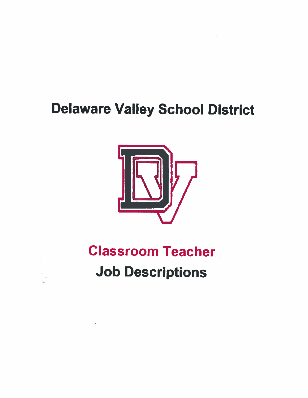# **Delaware Valley School District**



# **Classroom Teacher Job Descriptions**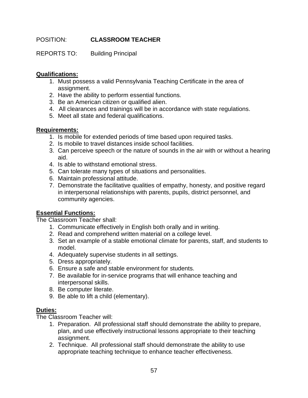# POSITION: **CLASSROOM TEACHER**

REPORTS TO: Building Principal

## **Qualifications:**

- 1. Must possess a valid Pennsylvania Teaching Certificate in the area of assignment.
- 2. Have the ability to perform essential functions.
- 3. Be an American citizen or qualified alien.
- 4. All clearances and trainings will be in accordance with state regulations.
- 5. Meet all state and federal qualifications.

### **Requirements:**

- 1. Is mobile for extended periods of time based upon required tasks.
- 2. Is mobile to travel distances inside school facilities.
- 3. Can perceive speech or the nature of sounds in the air with or without a hearing aid.
- 4. Is able to withstand emotional stress.
- 5. Can tolerate many types of situations and personalities.
- 6. Maintain professional attitude.
- 7. Demonstrate the facilitative qualities of empathy, honesty, and positive regard in interpersonal relationships with parents, pupils, district personnel, and community agencies.

# **Essential Functions:**

The Classroom Teacher shall:

- 1. Communicate effectively in English both orally and in writing.
- 2. Read and comprehend written material on a college level.
- 3. Set an example of a stable emotional climate for parents, staff, and students to model.
- 4. Adequately supervise students in all settings.
- 5. Dress appropriately.
- 6. Ensure a safe and stable environment for students.
- 7. Be available for in-service programs that will enhance teaching and interpersonal skills.
- 8. Be computer literate.
- 9. Be able to lift a child (elementary).

# **Duties:**

The Classroom Teacher will:

- 1. Preparation. All professional staff should demonstrate the ability to prepare, plan, and use effectively instructional lessons appropriate to their teaching assignment.
- 2. Technique. All professional staff should demonstrate the ability to use appropriate teaching technique to enhance teacher effectiveness.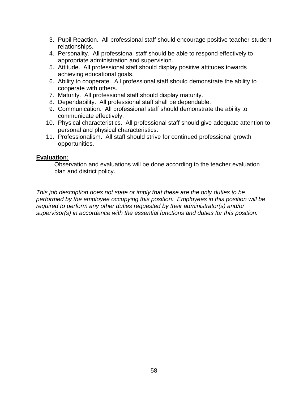- 3. Pupil Reaction. All professional staff should encourage positive teacher-student relationships.
- 4. Personality. All professional staff should be able to respond effectively to appropriate administration and supervision.
- 5. Attitude. All professional staff should display positive attitudes towards achieving educational goals.
- 6. Ability to cooperate. All professional staff should demonstrate the ability to cooperate with others.
- 7. Maturity. All professional staff should display maturity.
- 8. Dependability. All professional staff shall be dependable.
- 9. Communication. All professional staff should demonstrate the ability to communicate effectively.
- 10. Physical characteristics. All professional staff should give adequate attention to personal and physical characteristics.
- 11. Professionalism. All staff should strive for continued professional growth opportunities.

Observation and evaluations will be done according to the teacher evaluation plan and district policy.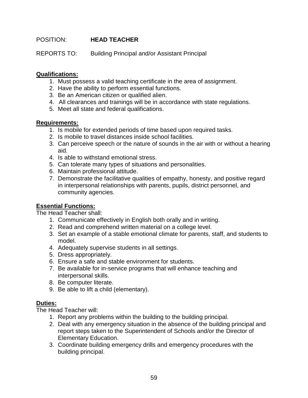# POSITION: **HEAD TEACHER**

REPORTS TO: Building Principal and/or Assistant Principal

### **Qualifications:**

- 1. Must possess a valid teaching certificate in the area of assignment.
- 2. Have the ability to perform essential functions.
- 3. Be an American citizen or qualified alien.
- 4. All clearances and trainings will be in accordance with state regulations.
- 5. Meet all state and federal qualifications.

#### **Requirements:**

- 1. Is mobile for extended periods of time based upon required tasks.
- 2. Is mobile to travel distances inside school facilities.
- 3. Can perceive speech or the nature of sounds in the air with or without a hearing aid.
- 4. Is able to withstand emotional stress.
- 5. Can tolerate many types of situations and personalities.
- 6. Maintain professional attitude.
- 7. Demonstrate the facilitative qualities of empathy, honesty, and positive regard in interpersonal relationships with parents, pupils, district personnel, and community agencies.

# **Essential Functions:**

The Head Teacher shall:

- 1. Communicate effectively in English both orally and in writing.
- 2. Read and comprehend written material on a college level.
- 3. Set an example of a stable emotional climate for parents, staff, and students to model.
- 4. Adequately supervise students in all settings.
- 5. Dress appropriately.
- 6. Ensure a safe and stable environment for students.
- 7. Be available for in-service programs that will enhance teaching and interpersonal skills.
- 8. Be computer literate.
- 9. Be able to lift a child (elementary).

#### **Duties:**

The Head Teacher will:

- 1. Report any problems within the building to the building principal.
- 2. Deal with any emergency situation in the absence of the building principal and report steps taken to the Superintendent of Schools and/or the Director of Elementary Education.
- 3. Coordinate building emergency drills and emergency procedures with the building principal.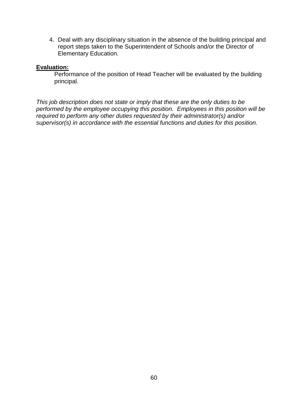4. Deal with any disciplinary situation in the absence of the building principal and report steps taken to the Superintendent of Schools and/or the Director of Elementary Education.

#### **Evaluation:**

Performance of the position of Head Teacher will be evaluated by the building principal.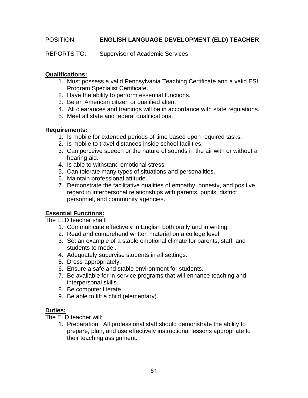# POSITION: **ENGLISH LANGUAGE DEVELOPMENT (ELD) TEACHER**

REPORTS TO: Supervisor of Academic Services

### **Qualifications:**

- 1. Must possess a valid Pennsylvania Teaching Certificate and a valid ESL Program Specialist Certificate.
- 2. Have the ability to perform essential functions.
- 3. Be an American citizen or qualified alien.
- 4. All clearances and trainings will be in accordance with state regulations.
- 5. Meet all state and federal qualifications.

### **Requirements:**

- 1. Is mobile for extended periods of time based upon required tasks.
- 2. Is mobile to travel distances inside school facilities.
- 3. Can perceive speech or the nature of sounds in the air with or without a hearing aid.
- 4. Is able to withstand emotional stress.
- 5. Can tolerate many types of situations and personalities.
- 6. Maintain professional attitude.
- 7. Demonstrate the facilitative qualities of empathy, honesty, and positive regard in interpersonal relationships with parents, pupils, district personnel, and community agencies.

# **Essential Functions:**

The ELD teacher shall:

- 1. Communicate effectively in English both orally and in writing.
- 2. Read and comprehend written material on a college level.
- 3. Set an example of a stable emotional climate for parents, staff, and students to model.
- 4. Adequately supervise students in all settings.
- 5. Dress appropriately.
- 6. Ensure a safe and stable environment for students.
- 7. Be available for in-service programs that will enhance teaching and interpersonal skills.
- 8. Be computer literate.
- 9. Be able to lift a child (elementary).

# **Duties:**

The ELD teacher will:

1. Preparation. All professional staff should demonstrate the ability to prepare, plan, and use effectively instructional lessons appropriate to their teaching assignment.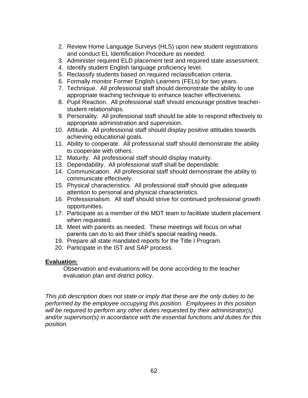- 2. Review Home Language Surveys (HLS) upon new student registrations and conduct EL Identification Procedure as needed.
- 3. Administer required ELD placement test and required state assessment.
- 4. Identify student English language proficiency level.
- 5. Reclassify students based on required reclassification criteria.
- 6. Formally monitor Former English Learners (FELs) for two years.
- 7. Technique. All professional staff should demonstrate the ability to use appropriate teaching technique to enhance teacher effectiveness.
- 8. Pupil Reaction. All professional staff should encourage positive teacherstudent relationships.
- 9. Personality. All professional staff should be able to respond effectively to appropriate administration and supervision.
- 10. Attitude. All professional staff should display positive attitudes towards achieving educational goals.
- 11. Ability to cooperate. All professional staff should demonstrate the ability to cooperate with others.
- 12. Maturity. All professional staff should display maturity.
- 13. Dependability. All professional staff shall be dependable.
- 14. Communication. All professional staff should demonstrate the ability to communicate effectively.
- 15. Physical characteristics. All professional staff should give adequate attention to personal and physical characteristics.
- 16. Professionalism. All staff should strive for continued professional growth opportunities.
- 17. Participate as a member of the MDT team to facilitate student placement when requested.
- 18. Meet with parents as needed. These meetings will focus on what parents can do to aid their child's special reading needs.
- 19. Prepare all state mandated reports for the Title I Program.
- 20. Participate in the IST and SAP process.

Observation and evaluations will be done according to the teacher evaluation plan and district policy.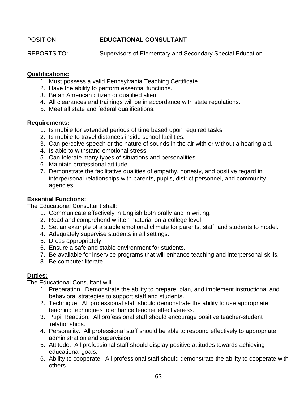# POSITION: **EDUCATIONAL CONSULTANT**

REPORTS TO: Supervisors of Elementary and Secondary Special Education

### **Qualifications:**

- 1. Must possess a valid Pennsylvania Teaching Certificate
- 2. Have the ability to perform essential functions.
- 3. Be an American citizen or qualified alien.
- 4. All clearances and trainings will be in accordance with state regulations.
- 5. Meet all state and federal qualifications.

### **Requirements:**

- 1. Is mobile for extended periods of time based upon required tasks.
- 2. Is mobile to travel distances inside school facilities.
- 3. Can perceive speech or the nature of sounds in the air with or without a hearing aid.
- 4. Is able to withstand emotional stress.
- 5. Can tolerate many types of situations and personalities.
- 6. Maintain professional attitude.
- 7. Demonstrate the facilitative qualities of empathy, honesty, and positive regard in interpersonal relationships with parents, pupils, district personnel, and community agencies.

# **Essential Functions:**

The Educational Consultant shall:

- 1. Communicate effectively in English both orally and in writing.
- 2. Read and comprehend written material on a college level.
- 3. Set an example of a stable emotional climate for parents, staff, and students to model.
- 4. Adequately supervise students in all settings.
- 5. Dress appropriately.
- 6. Ensure a safe and stable environment for students.
- 7. Be available for inservice programs that will enhance teaching and interpersonal skills.
- 8. Be computer literate.

# **Duties:**

The Educational Consultant will:

- 1. Preparation. Demonstrate the ability to prepare, plan, and implement instructional and behavioral strategies to support staff and students.
- 2. Technique. All professional staff should demonstrate the ability to use appropriate teaching techniques to enhance teacher effectiveness.
- 3. Pupil Reaction. All professional staff should encourage positive teacher-student relationships.
- 4. Personality. All professional staff should be able to respond effectively to appropriate administration and supervision.
- 5. Attitude. All professional staff should display positive attitudes towards achieving educational goals.
- 6. Ability to cooperate. All professional staff should demonstrate the ability to cooperate with others.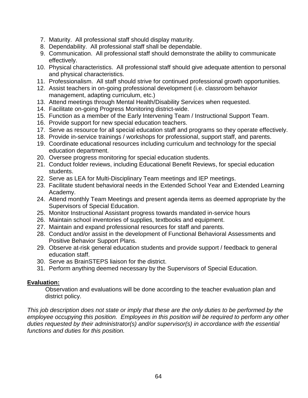- 7. Maturity. All professional staff should display maturity.
- 8. Dependability. All professional staff shall be dependable.
- 9. Communication. All professional staff should demonstrate the ability to communicate effectively.
- 10. Physical characteristics. All professional staff should give adequate attention to personal and physical characteristics.
- 11. Professionalism. All staff should strive for continued professional growth opportunities.
- 12. Assist teachers in on-going professional development (i.e. classroom behavior management, adapting curriculum, etc.)
- 13. Attend meetings through Mental Health/Disability Services when requested.
- 14. Facilitate on-going Progress Monitoring district-wide.
- 15. Function as a member of the Early Intervening Team / Instructional Support Team.
- 16. Provide support for new special education teachers.
- 17. Serve as resource for all special education staff and programs so they operate effectively.
- 18. Provide in-service trainings / workshops for professional, support staff, and parents.
- 19. Coordinate educational resources including curriculum and technology for the special education department.
- 20. Oversee progress monitoring for special education students.
- 21. Conduct folder reviews, including Educational Benefit Reviews, for special education students.
- 22. Serve as LEA for Multi-Disciplinary Team meetings and IEP meetings.
- 23. Facilitate student behavioral needs in the Extended School Year and Extended Learning Academy.
- 24. Attend monthly Team Meetings and present agenda items as deemed appropriate by the Supervisors of Special Education.
- 25. Monitor Instructional Assistant progress towards mandated in-service hours
- 26. Maintain school inventories of supplies, textbooks and equipment.
- 27. Maintain and expand professional resources for staff and parents.
- 28. Conduct and/or assist in the development of Functional Behavioral Assessments and Positive Behavior Support Plans.
- 29. Observe at-risk general education students and provide support / feedback to general education staff.
- 30. Serve as BrainSTEPS liaison for the district.
- 31. Perform anything deemed necessary by the Supervisors of Special Education.

Observation and evaluations will be done according to the teacher evaluation plan and district policy.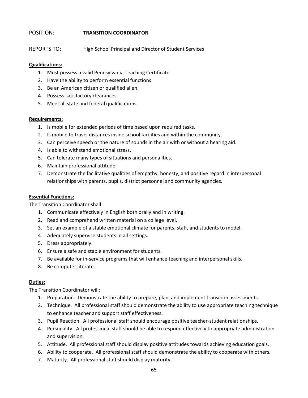#### POSITION: **TRANSITION COORDINATOR**

REPORTS TO: High School Principal and Director of Student Services

#### **Qualifications:**

- 1. Must possess a valid Pennsylvania Teaching Certificate
- 2. Have the ability to perform essential functions.
- 3. Be an American citizen or qualified alien.
- 4. Possess satisfactory clearances.
- 5. Meet all state and federal qualifications.

#### **Requirements:**

- 1. Is mobile for extended periods of time based upon required tasks.
- 2. Is mobile to travel distances inside school facilities and within the community.
- 3. Can perceive speech or the nature of sounds in the air with or without a hearing aid.
- 4. Is able to withstand emotional stress.
- 5. Can tolerate many types of situations and personalities.
- 6. Maintain professional attitude
- 7. Demonstrate the facilitative qualities of empathy, honesty, and positive regard in interpersonal relationships with parents, pupils, district personnel and community agencies.

#### **Essential Functions:**

The Transition Coordinator shall:

- 1. Communicate effectively in English both orally and in writing.
- 2. Read and comprehend written material on a college level.
- 3. Set an example of a stable emotional climate for parents, staff, and students to model.
- 4. Adequately supervise students in all settings.
- 5. Dress appropriately.
- 6. Ensure a safe and stable environment for students.
- 7. Be available for in-service programs that will enhance teaching and interpersonal skills.
- 8. Be computer literate.

#### **Duties:**

The Transition Coordinator will:

- 1. Preparation. Demonstrate the ability to prepare, plan, and implement transition assessments.
- 2. Technique. All professional staff should demonstrate the ability to use appropriate teaching technique to enhance teacher and support staff effectiveness.
- 3. Pupil Reaction. All professional staff should encourage positive teacher-student relationships.
- 4. Personality. All professional staff should be able to respond effectively to appropriate administration and supervision.
- 5. Attitude. All professional staff should display positive attitudes towards achieving education goals.
- 6. Ability to cooperate. All professional staff should demonstrate the ability to cooperate with others.
- 7. Maturity. All professional staff should display maturity.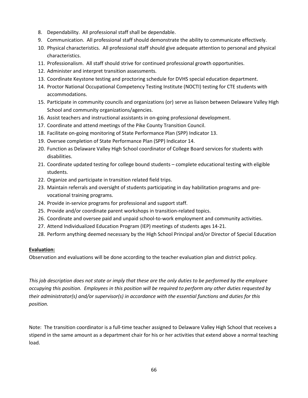- 8. Dependability. All professional staff shall be dependable.
- 9. Communication. All professional staff should demonstrate the ability to communicate effectively.
- 10. Physical characteristics. All professional staff should give adequate attention to personal and physical characteristics.
- 11. Professionalism. All staff should strive for continued professional growth opportunities.
- 12. Administer and interpret transition assessments.
- 13. Coordinate Keystone testing and proctoring schedule for DVHS special education department.
- 14. Proctor National Occupational Competency Testing Institute (NOCTI) testing for CTE students with accommodations.
- 15. Participate in community councils and organizations (or) serve as liaison between Delaware Valley High School and community organizations/agencies.
- 16. Assist teachers and instructional assistants in on-going professional development.
- 17. Coordinate and attend meetings of the Pike County Transition Council.
- 18. Facilitate on-going monitoring of State Performance Plan (SPP) Indicator 13.
- 19. Oversee completion of State Performance Plan (SPP) Indicator 14.
- 20. Function as Delaware Valley High School coordinator of College Board services for students with disabilities.
- 21. Coordinate updated testing for college bound students complete educational testing with eligible students.
- 22. Organize and participate in transition related field trips.
- 23. Maintain referrals and oversight of students participating in day habilitation programs and prevocational training programs.
- 24. Provide in-service programs for professional and support staff.
- 25. Provide and/or coordinate parent workshops in transition-related topics.
- 26. Coordinate and oversee paid and unpaid school-to-work employment and community activities.
- 27. Attend Individualized Education Program (IEP) meetings of students ages 14-21.
- 28. Perform anything deemed necessary by the High School Principal and/or Director of Special Education

Observation and evaluations will be done according to the teacher evaluation plan and district policy.

*This job description does not state or imply that these are the only duties to be performed by the employee occupying this position. Employees in this position will be required to perform any other duties requested by their administrator(s) and/or supervisor(s) in accordance with the essential functions and duties for this position.*

Note: The transition coordinator is a full-time teacher assigned to Delaware Valley High School that receives a stipend in the same amount as a department chair for his or her activities that extend above a normal teaching load.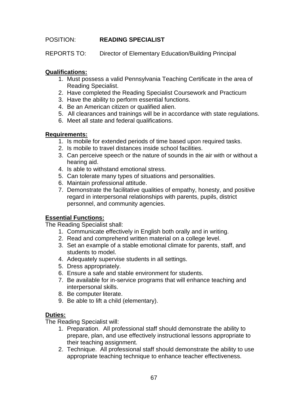# POSITION: **READING SPECIALIST**

REPORTS TO: Director of Elementary Education/Building Principal

### **Qualifications:**

- 1. Must possess a valid Pennsylvania Teaching Certificate in the area of Reading Specialist.
- 2. Have completed the Reading Specialist Coursework and Practicum
- 3. Have the ability to perform essential functions.
- 4. Be an American citizen or qualified alien.
- 5. All clearances and trainings will be in accordance with state regulations.
- 6. Meet all state and federal qualifications.

### **Requirements:**

- 1. Is mobile for extended periods of time based upon required tasks.
- 2. Is mobile to travel distances inside school facilities.
- 3. Can perceive speech or the nature of sounds in the air with or without a hearing aid.
- 4. Is able to withstand emotional stress.
- 5. Can tolerate many types of situations and personalities.
- 6. Maintain professional attitude.
- 7. Demonstrate the facilitative qualities of empathy, honesty, and positive regard in interpersonal relationships with parents, pupils, district personnel, and community agencies.

# **Essential Functions:**

The Reading Specialist shall:

- 1. Communicate effectively in English both orally and in writing.
- 2. Read and comprehend written material on a college level.
- 3. Set an example of a stable emotional climate for parents, staff, and students to model.
- 4. Adequately supervise students in all settings.
- 5. Dress appropriately.
- 6. Ensure a safe and stable environment for students.
- 7. Be available for in-service programs that will enhance teaching and interpersonal skills.
- 8. Be computer literate.
- 9. Be able to lift a child (elementary).

# **Duties:**

The Reading Specialist will:

- 1. Preparation. All professional staff should demonstrate the ability to prepare, plan, and use effectively instructional lessons appropriate to their teaching assignment.
- 2. Technique. All professional staff should demonstrate the ability to use appropriate teaching technique to enhance teacher effectiveness.